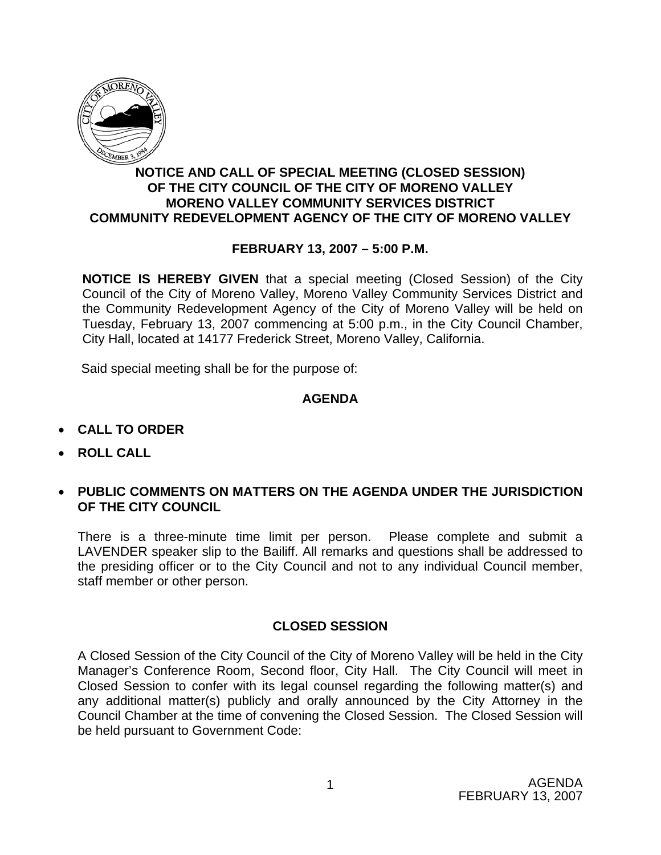

## **NOTICE AND CALL OF SPECIAL MEETING (CLOSED SESSION) OF THE CITY COUNCIL OF THE CITY OF MORENO VALLEY MORENO VALLEY COMMUNITY SERVICES DISTRICT COMMUNITY REDEVELOPMENT AGENCY OF THE CITY OF MORENO VALLEY**

# **FEBRUARY 13, 2007 – 5:00 P.M.**

**NOTICE IS HEREBY GIVEN** that a special meeting (Closed Session) of the City Council of the City of Moreno Valley, Moreno Valley Community Services District and the Community Redevelopment Agency of the City of Moreno Valley will be held on Tuesday, February 13, 2007 commencing at 5:00 p.m., in the City Council Chamber, City Hall, located at 14177 Frederick Street, Moreno Valley, California.

Said special meeting shall be for the purpose of:

### **AGENDA**

- **CALL TO ORDER**
- **ROLL CALL**
- **PUBLIC COMMENTS ON MATTERS ON THE AGENDA UNDER THE JURISDICTION OF THE CITY COUNCIL**

There is a three-minute time limit per person. Please complete and submit a LAVENDER speaker slip to the Bailiff. All remarks and questions shall be addressed to the presiding officer or to the City Council and not to any individual Council member, staff member or other person.

### **CLOSED SESSION**

A Closed Session of the City Council of the City of Moreno Valley will be held in the City Manager's Conference Room, Second floor, City Hall. The City Council will meet in Closed Session to confer with its legal counsel regarding the following matter(s) and any additional matter(s) publicly and orally announced by the City Attorney in the Council Chamber at the time of convening the Closed Session. The Closed Session will be held pursuant to Government Code: